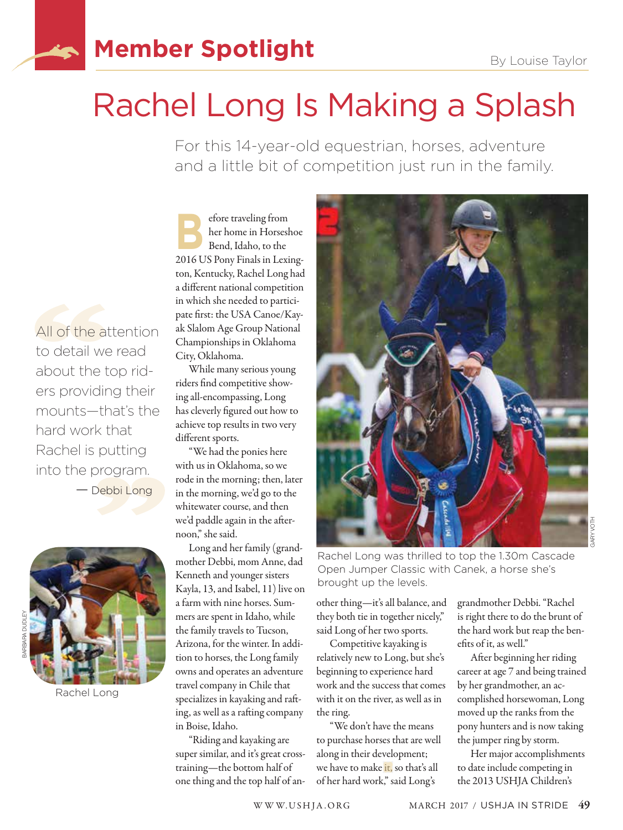## **Member Spotlight** By Louise Taylor

## Rachel Long Is Making a Splash

For this 14-year-old equestrian, horses, adventure and a little bit of competition just run in the family.

efore traveling from<br>Bend, Idaho, to the<br>2016 U.S. C. Li her home in Horseshoe Bend, Idaho, to the 2016 US Pony Finals in Lexington, Kentucky, Rachel Long had a different national competition in which she needed to participate first: the USA Canoe/Kayak Slalom Age Group National Championships in Oklahoma City, Oklahoma.

All of the attention to detail we read about the top riders providing their mounts—that's the

hard work that Rachel is putting into the program.

Rachel Long

BARBARA DUDLEY

ARBARA DUDLE

— Debbi Long

While many serious young riders find competitive showing all-encompassing, Long has cleverly figured out how to achieve top results in two very different sports.

"We had the ponies here with us in Oklahoma, so we rode in the morning; then, later in the morning, we'd go to the whitewater course, and then we'd paddle again in the afternoon," she said.

Long and her family (grandmother Debbi, mom Anne, dad Kenneth and younger sisters Kayla, 13, and Isabel, 11) live on a farm with nine horses. Summers are spent in Idaho, while the family travels to Tucson, Arizona, for the winter. In addition to horses, the Long family owns and operates an adventure travel company in Chile that specializes in kayaking and rafting, as well as a rafting company in Boise, Idaho.

"Riding and kayaking are super similar, and it's great crosstraining—the bottom half of one thing and the top half of an-



Rachel Long was thrilled to top the 1.30m Cascade Open Jumper Classic with Canek, a horse she's brought up the levels.

other thing—it's all balance, and they both tie in together nicely," said Long of her two sports.

Competitive kayaking is relatively new to Long, but she's beginning to experience hard work and the success that comes with it on the river, as well as in the ring.

"We don't have the means to purchase horses that are well along in their development; we have to make it, so that's all of her hard work," said Long's

grandmother Debbi. "Rachel is right there to do the brunt of the hard work but reap the benefits of it, as well."

After beginning her riding career at age 7 and being trained by her grandmother, an accomplished horsewoman, Long moved up the ranks from the pony hunters and is now taking the jumper ring by storm.

Her major accomplishments to date include competing in the 2013 USHJA Children's